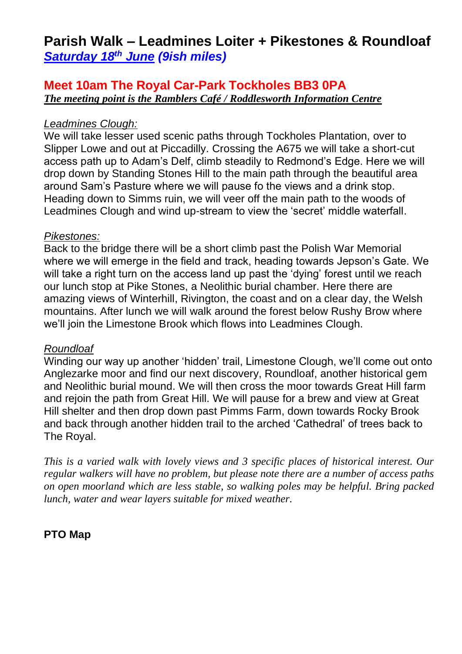# **Parish Walk – Leadmines Loiter + Pikestones & Roundloaf** *Saturday 18th June (9ish miles)*

## **Meet 10am The Royal Car-Park Tockholes BB3 0PA** *The meeting point is the Ramblers Café / Roddlesworth Information Centre*

#### *Leadmines Clough:*

We will take lesser used scenic paths through Tockholes Plantation, over to Slipper Lowe and out at Piccadilly. Crossing the A675 we will take a short-cut access path up to Adam's Delf, climb steadily to Redmond's Edge. Here we will drop down by Standing Stones Hill to the main path through the beautiful area around Sam's Pasture where we will pause fo the views and a drink stop. Heading down to Simms ruin, we will veer off the main path to the woods of Leadmines Clough and wind up-stream to view the 'secret' middle waterfall.

#### *Pikestones:*

Back to the bridge there will be a short climb past the Polish War Memorial where we will emerge in the field and track, heading towards Jepson's Gate. We will take a right turn on the access land up past the 'dying' forest until we reach our lunch stop at Pike Stones, a Neolithic burial chamber. Here there are amazing views of Winterhill, Rivington, the coast and on a clear day, the Welsh mountains. After lunch we will walk around the forest below Rushy Brow where we'll join the Limestone Brook which flows into Leadmines Clough.

### *Roundloaf*

Winding our way up another 'hidden' trail, Limestone Clough, we'll come out onto Anglezarke moor and find our next discovery, Roundloaf, another historical gem and Neolithic burial mound. We will then cross the moor towards Great Hill farm and rejoin the path from Great Hill. We will pause for a brew and view at Great Hill shelter and then drop down past Pimms Farm, down towards Rocky Brook and back through another hidden trail to the arched 'Cathedral' of trees back to The Royal.

*This is a varied walk with lovely views and 3 specific places of historical interest. Our regular walkers will have no problem, but please note there are a number of access paths on open moorland which are less stable, so walking poles may be helpful. Bring packed lunch, water and wear layers suitable for mixed weather.*

## **PTO Map**